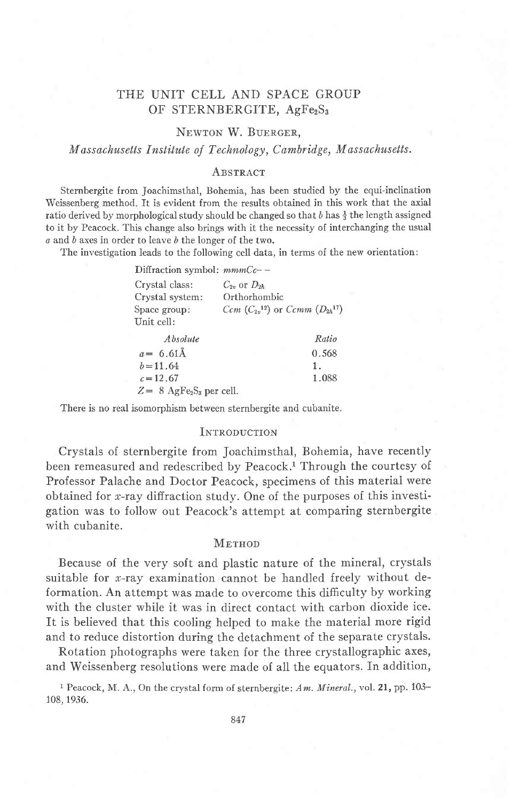# THE UNIT CELL AND SPACE GROUP OF STERNBERGITE, AgFe<sub>2</sub>S<sub>3</sub>

## NEWTON W. BUERGER,

Massachusetts Institute of Technology, Cambridge, Massachusetts.

## **ABSTRACT**

Sternbergite from Joachimsthal, Bohemia, has been studied by the equi-inclination Weissenberg method. It is evident from the results obtained in this work that the axial ratio derived by morphological study should be changed so that  $b$  has  $\frac{1}{3}$  the length assigned to it by Peacock. This change also brings with it the necessity of interchanging the usual a and b axes in order to leave b the longer of the two,

The investigation leads to the following cell data, in terms of the new orientation:

| Diffraction symbol: $mmCc$ -- |                                                     |
|-------------------------------|-----------------------------------------------------|
| Crystal class:                | $C_{2v}$ or $D_{2h}$                                |
| Crystal system:               | Orthorhombic                                        |
| Space group:                  | $Ccm$ ( $C_{2n}^{12}$ ) or $Ccmm$ ( $D_{2h}^{17}$ ) |
| Unit cell:                    |                                                     |
| Absolute                      | Ratio                                               |

| $a = 6.61 \text{\AA}$                              | 0.568 |
|----------------------------------------------------|-------|
| $b = 11.64$                                        |       |
| $c = 12.67$                                        | 1.088 |
| $Z = 8$ AgFe <sub>2</sub> S <sub>3</sub> per cell. |       |

There is no real isomorphism between sternbergite and cubanite.

#### INTRODUCTION

Crystals of sternbergite from Joachimsthal, Bohemia, have recently been remeasured and redescribed by Peacock.<sup>1</sup> Through the courtesy of Professor Palache and Doctor Peacock, specimens of this material were obtained for x-ray diffraction study. One of the purposes of this investigation was to follow out Peacock's attempt at comparing sternbergite with cubanite.

#### **METHOD**

Because of the very soft and plastic nature of the mineral, crystals suitable for  $x$ -ray examination cannot be handled freely without deformation. An attempt was made to overcome this difficulty by working with the cluster while it was in direct contact with carbon dioxide ice. It is believed that this cooling helped to make the material more rigid and to reduce distortion during the detachment of the separate crystals.

Rotation photographs were taken for the three crystallographic axes, and Weissenberg resolutions were made of all the equators. fn addition,

<sup>1</sup> Peacock, M. A., On the crystal form of sternbergite: Am. Mineral., vol. 21, pp. 103-108, 1936.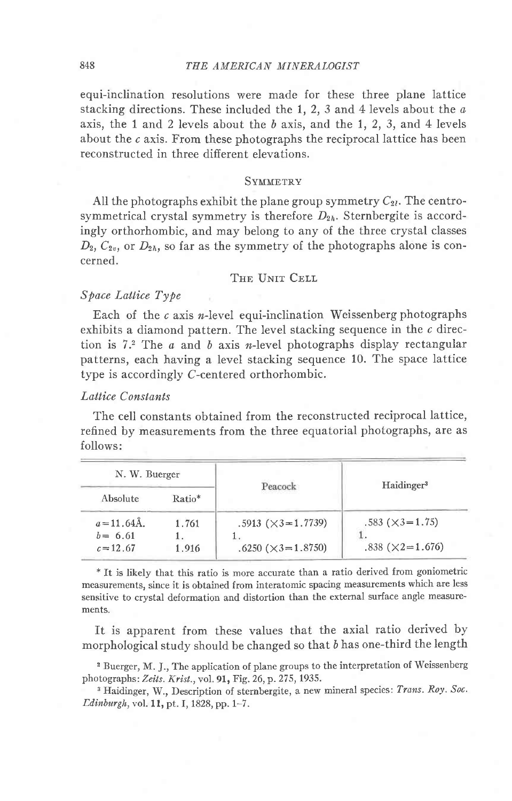### 848 THE AMERICAN MINERALOGIST

equi-inclination resolutions were made for these three plane lattice stacking directions. These included the  $1, 2, 3$  and  $4$  levels about the  $a$ axis, the 1 and 2 levels about the  $b$  axis, and the 1, 2, 3, and 4 levels about the c axis. From these photographs the reciprocal lattice has been reconstructed in three different elevations.

#### SYMMETRY

All the photographs exhibit the plane group symmetry  $C_{2l}$ . The centrosymmetrical crystal symmetry is therefore  $D_{2h}$ . Sternbergite is accordingly orthorhombic, and may belong to any of the three crystal classes  $D_2, C_{2v}$ , or  $D_{2h}$ , so far as the symmetry of the photographs alone is concerned.

#### THE UNIT CELL

## Spoce Lattice Type

Each of the  $c$  axis *n*-level equi-inclination Weissenberg photographs exhibits a diamond pattern. The level stacking sequence in the  $c$  direction is 7.<sup>2</sup> The  $a$  and  $b$  axis n-level photographs display rectangular patterns, each having a level stacking sequence 10. The space lattice type is accordingly C-centered orthorhombic.

## Lattice Conslants

The cell constants obtained from the reconstructed reciprocal lattice, refined by measurements from the three equatorial photographs, are as follows:

| N. W. Buerger                               |                | Peacock                                                       | Haidinger <sup>3</sup>                                  |  |  |
|---------------------------------------------|----------------|---------------------------------------------------------------|---------------------------------------------------------|--|--|
| Absolute                                    | Ratio*         |                                                               |                                                         |  |  |
| $a = 11.64$ Å.<br>$b = 6.61$<br>$c = 12.67$ | 1.761<br>1.916 | $.5913 (\times 3 = 1.7739)$<br>$.6250 \; (\times 3 = 1.8750)$ | $.583$ ( $\times$ 3=1.75)<br>$.838$ ( $\times$ 2=1.676) |  |  |

\* It is likely that this ratio is more accurate than a ratio derived Irom goniometric measurements, since it is obtained from interatomic spacing measurements which are less sensitive to crystal deformation and distortion than the external surface angle measurements.

ft is apparent from these values that the axial ratio derived by morphological study should be changed so that b has one-third the length

2 Buerger, M. J., The application of plane groups to the interpretation of Weissenberg photographs: Zeits. Krist., vol. 91, Fig. 26, p. 275, 1935.

<sup>3</sup> Haidinger, W., Description of sternbergite, a new mineral species: Trans. Roy. Soc. Ldinburgh, vol. ll, pt. I, 1828, pp. 1-7.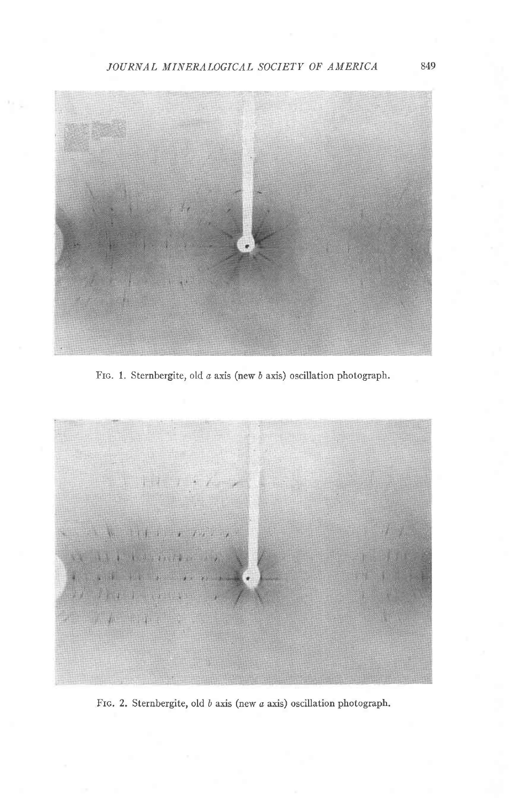JOURNAL MINERALOGICAL SOCIETY OF AMERICA



Frc. 1. Sternbergite, old a axis (new b axis) oscillation photograph.



Fro. 2. Sternbergite, old  $b$  axis (new  $a$  axis) oscillation photograph.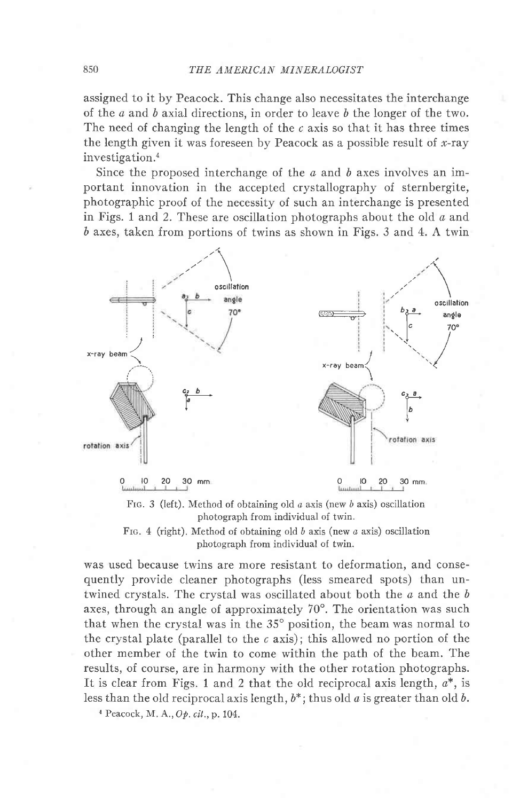assigned to it by Peacock. This change also necessitates the interchange of the  $a$  and  $b$  axial directions, in order to leave  $b$  the longer of the two. The need of changing the length of the  $c$  axis so that it has three times the length given it was foreseen by Peacock as a possible result of  $x$ -ray investigation.<sup>4</sup>

Since the proposed interchange of the  $a$  and  $b$  axes involves an important innovation in the accepted crystallography of sternbergite, photographic proof of the necessity of such an interchange is presented in Figs. 1 and 2. These are oscillation photographs about the old  $a$  and 6 axes, taken from portions of twins as shown in Figs. 3 and 4. A twin



FIG. 3 (left). Method of obtaining old  $a$  axis (new  $b$  axis) oscillation photograph from individual of twin.

FIG. 4 (right). Method of obtaining old  $b$  axis (new  $a$  axis) oscillation photograph from individual of twin.

was used because twins are more resistant to deformation, and consequently provide cleaner photographs (less smeared spots) than untwined crystals. The crystal was oscillated about both the  $a$  and the  $b$ axes, through an angle of approximately  $70^{\circ}$ . The orientation was such that when the crystal was in the  $35^{\circ}$  position, the beam was normal to the crystal plate (parallel to the  $c$  axis); this allowed no portion of the other member of the twin to come within the path of the beam. The results, of course, are in harmony with the other rotation photographs. It is clear from Figs. 1 and 2 that the old reciprocal axis length,  $a^*$ , is less than the old reciprocal axis length,  $b^*$ ; thus old a is greater than old b.

a Peacock, M. A.,Op. cit.,p.104.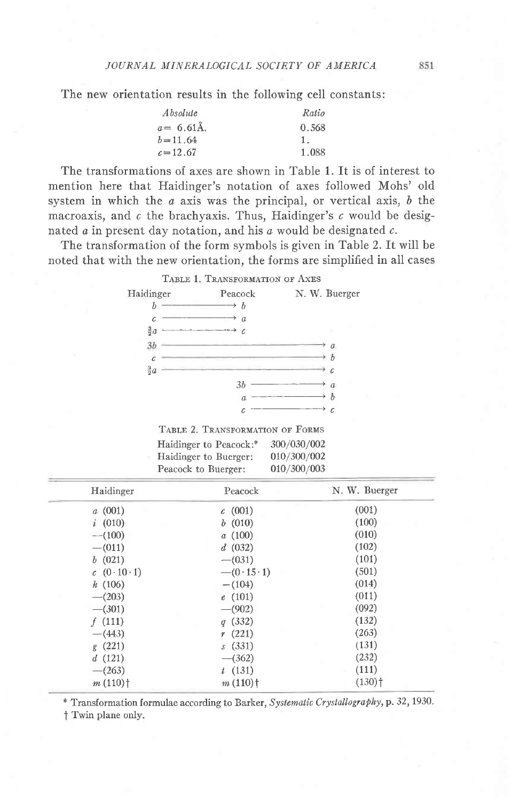The new orientation results in the following cell constants:

| Absolute      | Ratio |
|---------------|-------|
| $a = 6.61$ Å. | 0.568 |
| $b = 11.64$   |       |
| $c = 12.67$   | 1.088 |

The transformations of axes are shown in Table 1. It is of interest to mention here that Haidinger's notation of axes followed Mohs' old system in which the  $a$  axis was the principal, or vertical axis,  $b$  the macroaxis, and  $c$  the brachyaxis. Thus, Haidinger's  $c$  would be designated  $\alpha$  in present day notation, and his  $\alpha$  would be designated  $\alpha$ .

The transformation of the form symbols is given in Table 2. It will be noted that with the new orientation, the forms are simplified in all cases

## TABLE 1. TRANSFORMATION OF AXES

| Haidinger    | Peacock          | N. W. Buerger    |
|--------------|------------------|------------------|
|              | $\boldsymbol{b}$ |                  |
| $\mathcal C$ | $\mathfrak a$    |                  |
| $rac{3}{2}a$ | C                |                  |
| 35           |                  | $\mathfrak a$    |
|              |                  | h<br>y.          |
| $rac{3}{2}a$ |                  | $\mathcal C$     |
|              | 3 <sub>b</sub>   | $\boldsymbol{a}$ |
|              | $\boldsymbol{a}$ | h                |
|              | с                | C                |

TABLE 2. TRANSFORMATION OF FORMS

| Haidinger to Peacock:* | 300/030/002 |
|------------------------|-------------|
| Haidinger to Buerger:  | 010/300/002 |
| Peacock to Buerger:    | 010/300/003 |

| Haidinger             | Peacock               | N. W. Buerger        |
|-----------------------|-----------------------|----------------------|
| a(001)                | c(001)                | (001)                |
| i(010)                | b(010)                | (100)                |
| $-(100)$              | a(100)                | (010)                |
| $-(011)$              | d(032)                | (102)                |
| b(021)                | $-(031)$              | (101)                |
| c(0.10.1)             | $-(0.15.1)$           | (501)                |
| h(106)                | $-(104)$              | (014)                |
| $-(203)$              | e(101)                | (011)                |
| $-(301)$              | $-(902)$              | (092)                |
| f(111)                | q(332)                | (132)                |
| $-(443)$              | r(221)                | (263)                |
| g(221)                | s(331)                | (131)                |
| d(121)                | $-$ (362)             | (232)                |
| $-(263)$              | t(131)                | (111)                |
| $m(110)$ <sup>+</sup> | $m(110)$ <sup>†</sup> | $(130)$ <sup>+</sup> |

\* Transformation formulae according to Barker, Systematic Crystallography, p. 32, 1930.

t Twin plane only.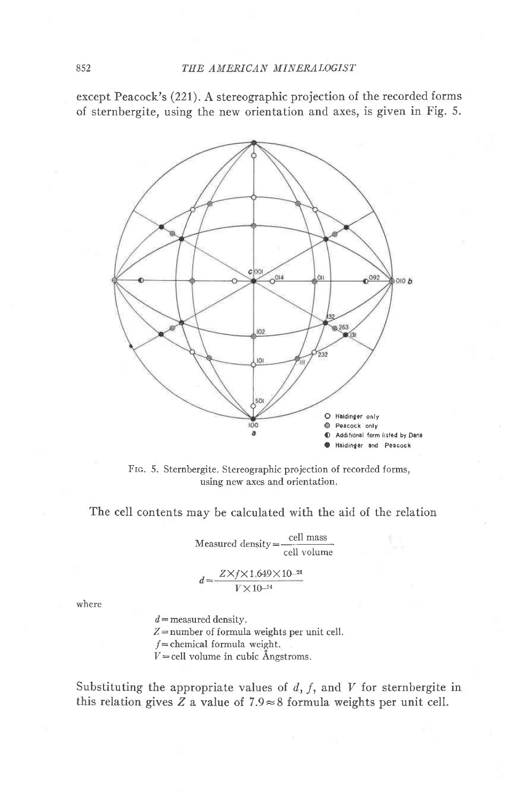except Peacock's (221). A stereographic projection of the recorded forms of sternbergite, using the new orientation and axes, is given in Fig. 5.



FIG. 5. Sternbergite. Stereographic projection of recorded forms, using new axes and orientation.

The cell contents may be calculated with the aid of the relation

 $\text{Measured density} = \frac{\text{cell mass}}{\text{cell volume}}$ 

$$
d = \frac{Z \times f \times 1.649 \times 10^{-24}}{V \times 10^{-24}}
$$

where

 $d =$  measured density.  $Z$ =number of formula weights per unit cell.  $f$ =chemical formula weight.  $V =$ cell volume in cubic Angstroms.

Substituting the appropriate values of  $d$ ,  $f$ , and  $V$  for sternbergite in this relation gives  $Z$  a value of  $7.9 \approx 8$  formula weights per unit cell.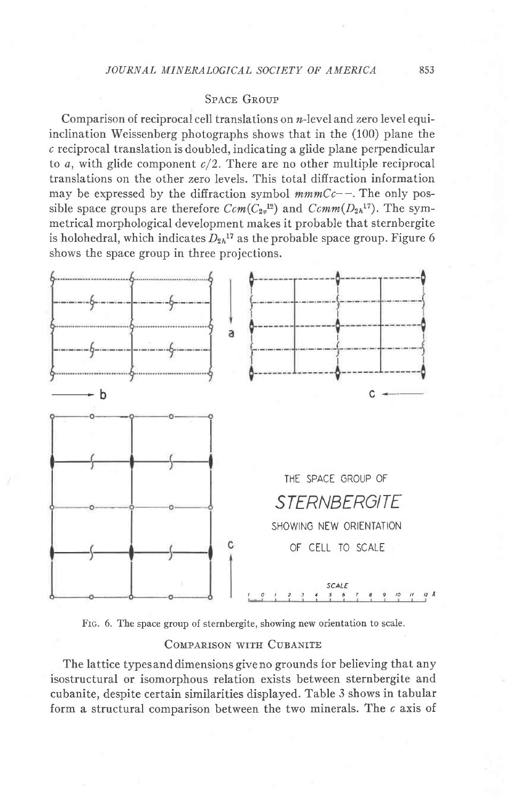## **SPACE GROUP**

Comparison of reciprocal cell translations on  $n$ -level and zero level equiinclination Weissenberg photographs shows that in the (100) plane the  $c$  reciprocal translation is doubled, indicating a glide plane perpendicular to  $a$ , with glide component  $c/2$ . There are no other multiple reciprocal translations on the other zero levels. This total diffraction information may be expressed by the diffraction symbol  $mmCc--$ . The only possible space groups are therefore  $Ccm(C_{2v}^{12})$  and  $Ccmm(D_{2h}^{17})$ . The symmetrical morphological development makes it probable that sternbergite is holohedral, which indicates  $D_{2h}^{17}$  as the probable space group. Figure 6 shows the space group in three projections.



Frc. 6. The space group of sternbergite, showing new orientation to scale.

### COMPARISON WITH CUBANITE

The lattice typesand dimensions give no grounds {or believing that any isostructural or isomorphous relation exists between sternbergite and cubanite, despite certain similarities displayed. Table 3 shows in tabular form a structural comparison between the two minerals. The c axis of